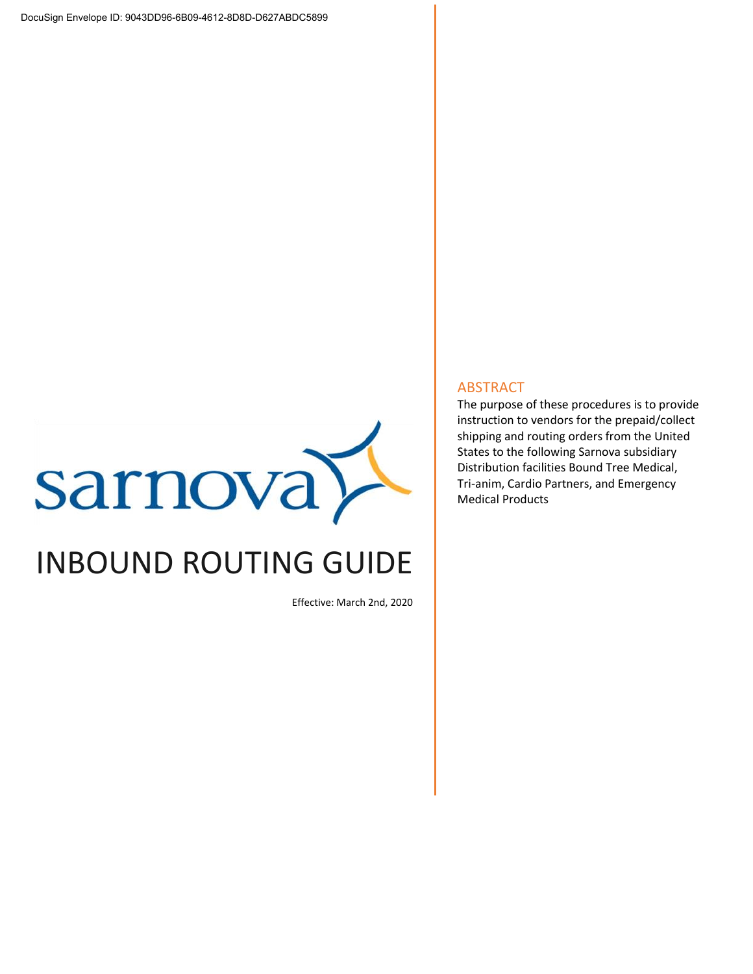

# INBOUND ROUTING GUIDE

Effective: March 2nd, 2020

#### ABSTRACT

The purpose of these procedures is to provide instruction to vendors for the prepaid/collect shipping and routing orders from the United States to the following Sarnova subsidiary Distribution facilities Bound Tree Medical, Tri-anim, Cardio Partners, and Emergency Medical Products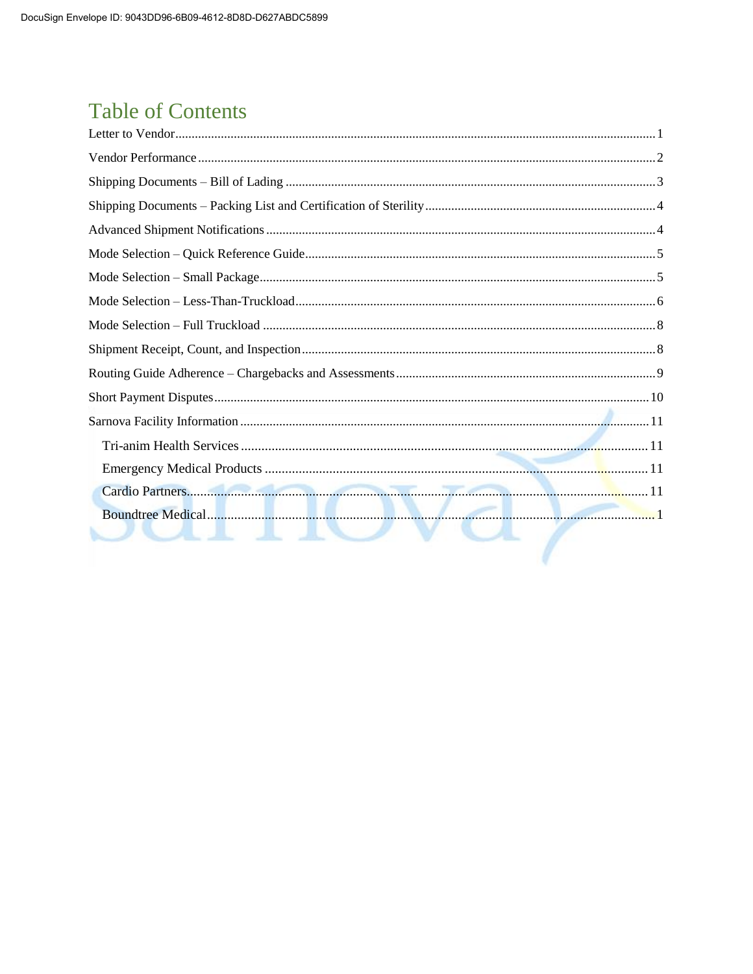## **Table of Contents**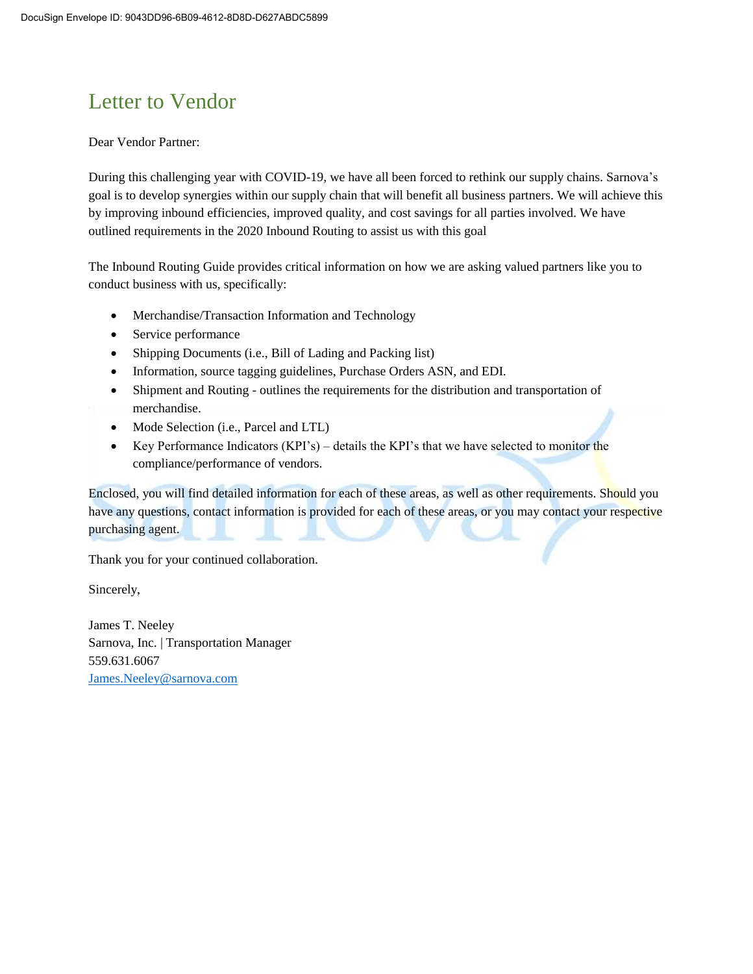## Letter to Vendor

#### Dear Vendor Partner:

During this challenging year with COVID-19, we have all been forced to rethink our supply chains. Sarnova's goal is to develop synergies within our supply chain that will benefit all business partners. We will achieve this by improving inbound efficiencies, improved quality, and cost savings for all parties involved. We have outlined requirements in the 2020 Inbound Routing to assist us with this goal

The Inbound Routing Guide provides critical information on how we are asking valued partners like you to conduct business with us, specifically:

- Merchandise/Transaction Information and Technology
- Service performance
- Shipping Documents (i.e., Bill of Lading and Packing list)
- Information, source tagging guidelines, Purchase Orders ASN, and EDI.
- Shipment and Routing outlines the requirements for the distribution and transportation of merchandise.
- Mode Selection (i.e., Parcel and LTL)
- Key Performance Indicators (KPI's) details the KPI's that we have selected to monitor the compliance/performance of vendors.

Enclosed, you will find detailed information for each of these areas, as well as other requirements. Should you have any questions, contact information is provided for each of these areas, or you may contact your respective purchasing agent.

Thank you for your continued collaboration.

Sincerely,

James T. Neeley Sarnova, Inc. | Transportation Manager 559.631.6067 [James.Neeley@sarnova.com](mailto:James.Neeley@sarnova.com)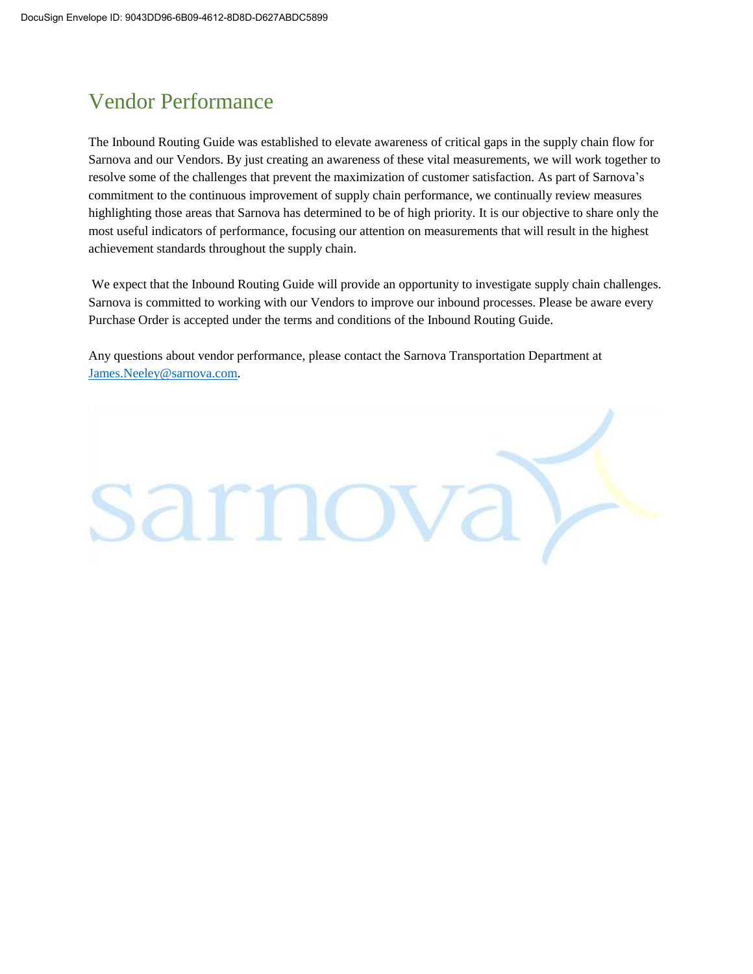## Vendor Performance

The Inbound Routing Guide was established to elevate awareness of critical gaps in the supply chain flow for Sarnova and our Vendors. By just creating an awareness of these vital measurements, we will work together to resolve some of the challenges that prevent the maximization of customer satisfaction. As part of Sarnova's commitment to the continuous improvement of supply chain performance, we continually review measures highlighting those areas that Sarnova has determined to be of high priority. It is our objective to share only the most useful indicators of performance, focusing our attention on measurements that will result in the highest achievement standards throughout the supply chain.

We expect that the Inbound Routing Guide will provide an opportunity to investigate supply chain challenges. Sarnova is committed to working with our Vendors to improve our inbound processes. Please be aware every Purchase Order is accepted under the terms and conditions of the Inbound Routing Guide.

Any questions about vendor performance, please contact the Sarnova Transportation Department at [James.Neeley@sarnova.com.](mailto:James.Neeley@sarnova.com)

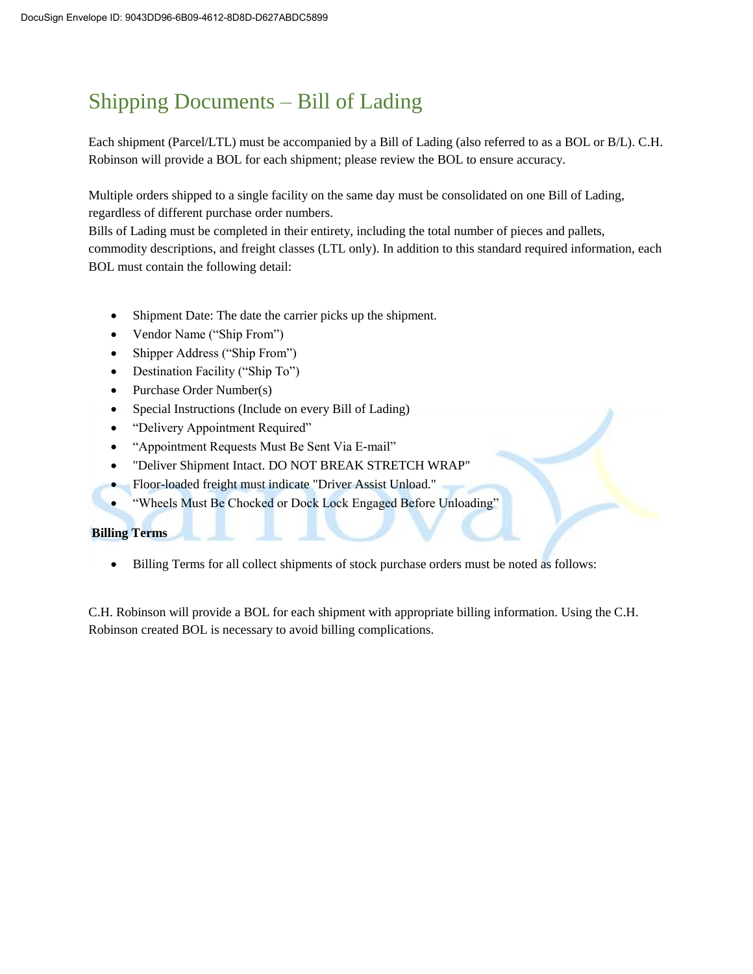## Shipping Documents – Bill of Lading

Each shipment (Parcel/LTL) must be accompanied by a Bill of Lading (also referred to as a BOL or B/L). C.H. Robinson will provide a BOL for each shipment; please review the BOL to ensure accuracy.

Multiple orders shipped to a single facility on the same day must be consolidated on one Bill of Lading, regardless of different purchase order numbers.

Bills of Lading must be completed in their entirety, including the total number of pieces and pallets, commodity descriptions, and freight classes (LTL only). In addition to this standard required information, each BOL must contain the following detail:

- Shipment Date: The date the carrier picks up the shipment.
- Vendor Name ("Ship From")
- Shipper Address ("Ship From")
- Destination Facility ("Ship To")
- Purchase Order Number(s)
- Special Instructions (Include on every Bill of Lading)
- "Delivery Appointment Required"
- "Appointment Requests Must Be Sent Via E-mail"
- "Deliver Shipment Intact. DO NOT BREAK STRETCH WRAP"
- Floor-loaded freight must indicate "Driver Assist Unload."
- "Wheels Must Be Chocked or Dock Lock Engaged Before Unloading"

#### **Billing Terms**

Billing Terms for all collect shipments of stock purchase orders must be noted as follows:

C.H. Robinson will provide a BOL for each shipment with appropriate billing information. Using the C.H. Robinson created BOL is necessary to avoid billing complications.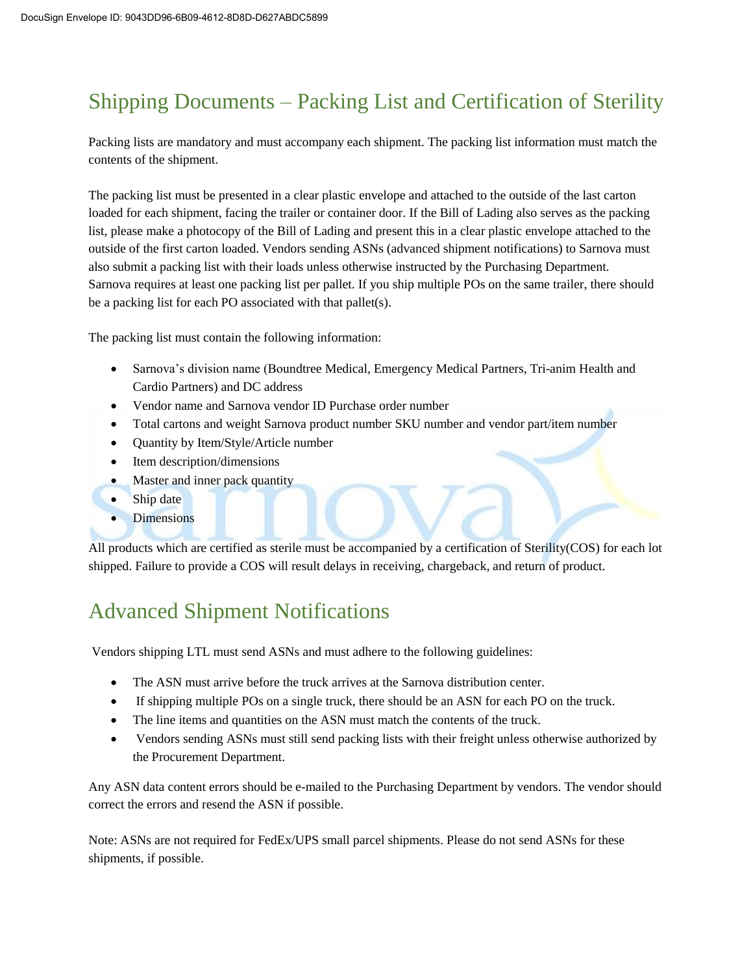## Shipping Documents – Packing List and Certification of Sterility

Packing lists are mandatory and must accompany each shipment. The packing list information must match the contents of the shipment.

The packing list must be presented in a clear plastic envelope and attached to the outside of the last carton loaded for each shipment, facing the trailer or container door. If the Bill of Lading also serves as the packing list, please make a photocopy of the Bill of Lading and present this in a clear plastic envelope attached to the outside of the first carton loaded. Vendors sending ASNs (advanced shipment notifications) to Sarnova must also submit a packing list with their loads unless otherwise instructed by the Purchasing Department. Sarnova requires at least one packing list per pallet. If you ship multiple POs on the same trailer, there should be a packing list for each PO associated with that pallet(s).

The packing list must contain the following information:

- Sarnova's division name (Boundtree Medical, Emergency Medical Partners, Tri-anim Health and Cardio Partners) and DC address
- Vendor name and Sarnova vendor ID Purchase order number
- Total cartons and weight Sarnova product number SKU number and vendor part/item number
- Quantity by Item/Style/Article number
- Item description/dimensions
- Master and inner pack quantity
- Ship date
- Dimensions

All products which are certified as sterile must be accompanied by a certification of Sterility(COS) for each lot shipped. Failure to provide a COS will result delays in receiving, chargeback, and return of product.

### Advanced Shipment Notifications

Vendors shipping LTL must send ASNs and must adhere to the following guidelines:

- The ASN must arrive before the truck arrives at the Sarnova distribution center.
- If shipping multiple POs on a single truck, there should be an ASN for each PO on the truck.
- The line items and quantities on the ASN must match the contents of the truck.
- Vendors sending ASNs must still send packing lists with their freight unless otherwise authorized by the Procurement Department.

Any ASN data content errors should be e-mailed to the Purchasing Department by vendors. The vendor should correct the errors and resend the ASN if possible.

Note: ASNs are not required for FedEx/UPS small parcel shipments. Please do not send ASNs for these shipments, if possible.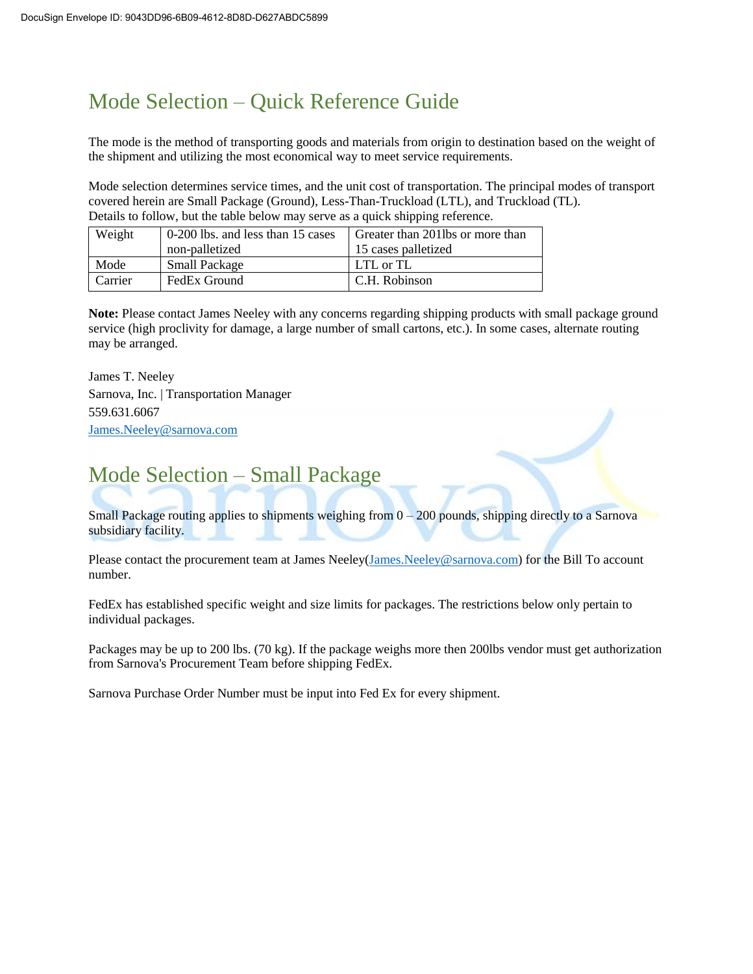## Mode Selection – Quick Reference Guide

The mode is the method of transporting goods and materials from origin to destination based on the weight of the shipment and utilizing the most economical way to meet service requirements.

Mode selection determines service times, and the unit cost of transportation. The principal modes of transport covered herein are Small Package (Ground), Less-Than-Truckload (LTL), and Truckload (TL). Details to follow, but the table below may serve as a quick shipping reference.

| Weight  | 0-200 lbs. and less than 15 cases | Greater than 2011bs or more than |  |
|---------|-----------------------------------|----------------------------------|--|
|         | non-palletized                    | 15 cases palletized              |  |
| Mode    | <b>Small Package</b>              | LTL or TL                        |  |
| Carrier | FedEx Ground                      | C.H. Robinson                    |  |

**Note:** Please contact James Neeley with any concerns regarding shipping products with small package ground service (high proclivity for damage, a large number of small cartons, etc.). In some cases, alternate routing may be arranged.

James T. Neeley Sarnova, Inc. | Transportation Manager 559.631.6067 [James.Neeley@sarnova.com](mailto:James.Neeley@sarnova.com)

## Mode Selection – Small Package

Small Package routing applies to shipments weighing from  $0 - 200$  pounds, shipping directly to a Sarnova subsidiary facility.

Please contact the procurement team at James Neeley[\(James.Neeley@sarnova.com\)](mailto:James.Neeley@sarnova.com) for the Bill To account number.

FedEx has established specific weight and size limits for packages. The restrictions below only pertain to individual packages.

Packages may be up to 200 lbs. (70 kg). If the package weighs more then 200lbs vendor must get authorization from Sarnova's Procurement Team before shipping FedEx.

Sarnova Purchase Order Number must be input into Fed Ex for every shipment.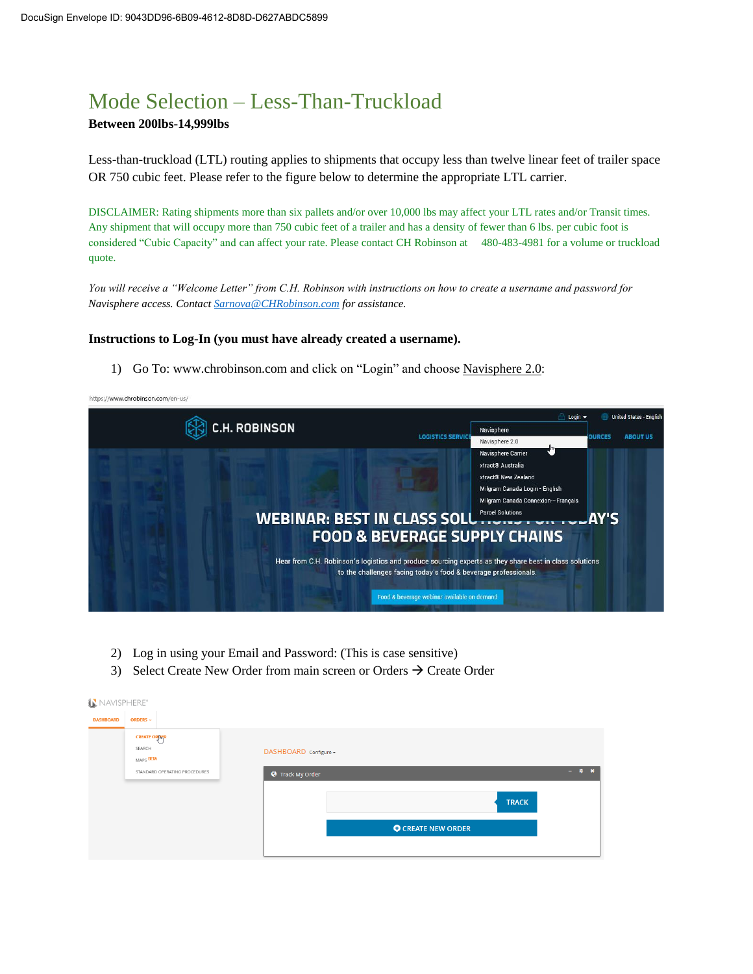### Mode Selection – Less-Than-Truckload

#### **Between 200lbs-14,999lbs**

Less-than-truckload (LTL) routing applies to shipments that occupy less than twelve linear feet of trailer space OR 750 cubic feet. Please refer to the figure below to determine the appropriate LTL carrier.

DISCLAIMER: Rating shipments more than six pallets and/or over 10,000 lbs may affect your LTL rates and/or Transit times. Any shipment that will occupy more than 750 cubic feet of a trailer and has a density of fewer than 6 lbs. per cubic foot is considered "Cubic Capacity" and can affect your rate. Please contact CH Robinson at 480-483-4981 for a volume or truckload quote.

*You will receive a "Welcome Letter" from C.H. Robinson with instructions on how to create a username and password for Navisphere access. Contact [Sarnova@CHRobinson.com](mailto:Sarnova@CHRobinson.com) for assistance.* 

#### **Instructions to Log-In (you must have already created a username).**

1) Go To: www.chrobinson.com and click on "Login" and choose Navisphere 2.0:

https://www.chrobinson.com/en-us/



- 2) Log in using your Email and Password: (This is case sensitive)
- 3) Select Create New Order from main screen or Orders  $\rightarrow$  Create Order

| NAVISPHERE®      |                               |                           |                  |
|------------------|-------------------------------|---------------------------|------------------|
| <b>DASHBOARD</b> | <b>ORDERS --</b>              |                           |                  |
|                  | <b>CREATE ORDER</b>           |                           |                  |
|                  | SEARCH<br>MAPS BETA           | DASHBOARD Configure -     |                  |
|                  | STANDARD OPERATING PROCEDURES | <b>O</b> Track My Order   | $ \phi$ $\times$ |
|                  |                               |                           |                  |
|                  |                               | <b>TRACK</b>              |                  |
|                  |                               | <b>O</b> CREATE NEW ORDER |                  |
|                  |                               |                           |                  |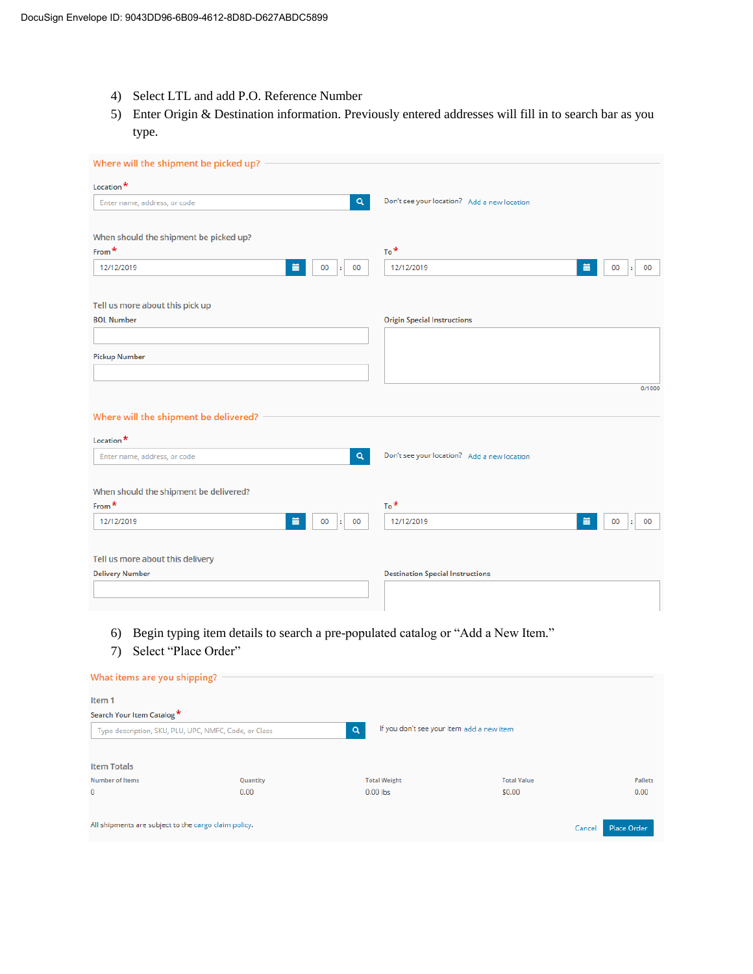- 4) Select LTL and add P.O. Reference Number
- 5) Enter Origin & Destination information. Previously entered addresses will fill in to search bar as you type.

| Where will the shipment be picked up?  |          |                                             |               |
|----------------------------------------|----------|---------------------------------------------|---------------|
| Location*                              |          |                                             |               |
| Enter name, address, or code           | $\alpha$ | Don't see your location? Add a new location |               |
| When should the shipment be picked up? |          |                                             |               |
| From $*$                               |          | $To^*$                                      |               |
| 首<br>12/12/2019<br>00                  | 00<br>÷  | 篇<br>12/12/2019                             | 00<br>00<br>÷ |
| Tell us more about this pick up        |          |                                             |               |
| <b>BOL Number</b>                      |          | <b>Origin Special Instructions</b>          |               |
|                                        |          |                                             |               |
| <b>Pickup Number</b>                   |          |                                             |               |
|                                        |          |                                             |               |
|                                        |          |                                             | 0/1000        |
| Where will the shipment be delivered?  |          |                                             |               |
| Location <sup>*</sup>                  |          |                                             |               |
| Enter name, address, or code           | Q        | Don't see your location? Add a new location |               |
|                                        |          |                                             |               |
| When should the shipment be delivered? |          |                                             |               |
| From <sup>*</sup>                      |          | $To^*$                                      |               |
| 首<br>12/12/2019<br>00                  | 00<br>÷. | 篇<br>12/12/2019                             | 00<br>00<br>÷ |
|                                        |          |                                             |               |
| Tell us more about this delivery       |          |                                             |               |
| <b>Delivery Number</b>                 |          | <b>Destination Special Instructions</b>     |               |
|                                        |          |                                             |               |
|                                        |          |                                             |               |

- 6) Begin typing item details to search a pre-populated catalog or "Add a New Item."
- 7) Select "Place Order"

| What items are you shipping?                          |          |                                                |                    |                       |
|-------------------------------------------------------|----------|------------------------------------------------|--------------------|-----------------------|
| Item <sub>1</sub>                                     |          |                                                |                    |                       |
| Search Your Item Catalog *                            |          |                                                |                    |                       |
| Type description, SKU, PLU, UPC, NMFC, Code, or Class |          | If you don't see your item add a new item<br>Q |                    |                       |
|                                                       |          |                                                |                    |                       |
| <b>Item Totals</b>                                    |          |                                                |                    |                       |
| <b>Number of Items</b>                                | Quantity | <b>Total Weight</b>                            | <b>Total Value</b> | Pallets               |
| $\mathbf 0$                                           | 0.00     | $0.00$ lbs                                     | \$0.00             | 0.00                  |
|                                                       |          |                                                |                    |                       |
| All shipments are subject to the cargo claim policy.  |          |                                                |                    | Place Order<br>Cancel |
|                                                       |          |                                                |                    |                       |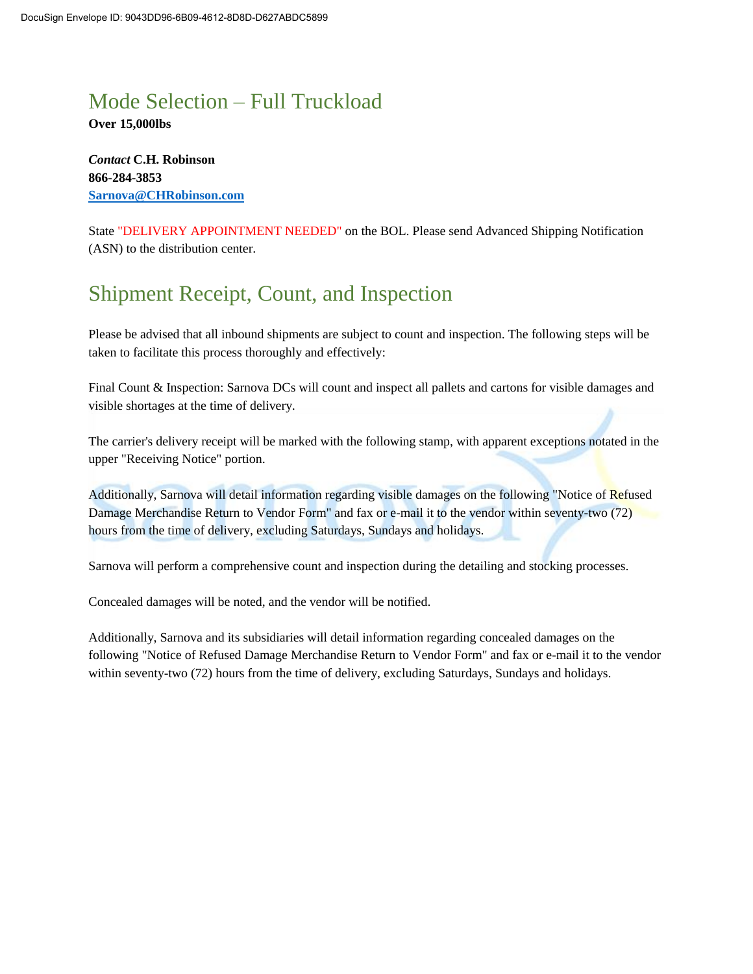### Mode Selection – Full Truckload

**Over 15,000lbs**

*Contact* **C.H. Robinson 866-284-3853 [Sarnova@CHRobinson.com](mailto:Sarnova@CHRobinson.com)**

State "DELIVERY APPOINTMENT NEEDED" on the BOL. Please send Advanced Shipping Notification (ASN) to the distribution center.

## Shipment Receipt, Count, and Inspection

Please be advised that all inbound shipments are subject to count and inspection. The following steps will be taken to facilitate this process thoroughly and effectively:

Final Count & Inspection: Sarnova DCs will count and inspect all pallets and cartons for visible damages and visible shortages at the time of delivery.

The carrier's delivery receipt will be marked with the following stamp, with apparent exceptions notated in the upper "Receiving Notice" portion.

Additionally, Sarnova will detail information regarding visible damages on the following "Notice of Refused Damage Merchandise Return to Vendor Form" and fax or e-mail it to the vendor within seventy-two (72) hours from the time of delivery, excluding Saturdays, Sundays and holidays.

Sarnova will perform a comprehensive count and inspection during the detailing and stocking processes.

Concealed damages will be noted, and the vendor will be notified.

Additionally, Sarnova and its subsidiaries will detail information regarding concealed damages on the following "Notice of Refused Damage Merchandise Return to Vendor Form" and fax or e-mail it to the vendor within seventy-two (72) hours from the time of delivery, excluding Saturdays, Sundays and holidays.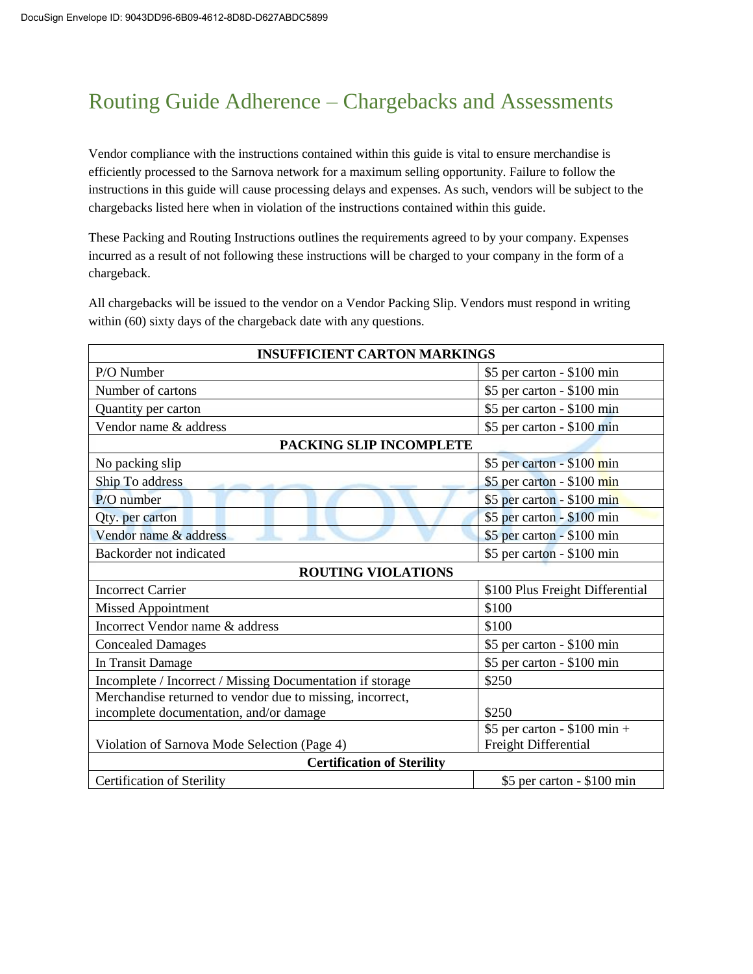## Routing Guide Adherence – Chargebacks and Assessments

Vendor compliance with the instructions contained within this guide is vital to ensure merchandise is efficiently processed to the Sarnova network for a maximum selling opportunity. Failure to follow the instructions in this guide will cause processing delays and expenses. As such, vendors will be subject to the chargebacks listed here when in violation of the instructions contained within this guide.

These Packing and Routing Instructions outlines the requirements agreed to by your company. Expenses incurred as a result of not following these instructions will be charged to your company in the form of a chargeback.

All chargebacks will be issued to the vendor on a Vendor Packing Slip. Vendors must respond in writing within (60) sixty days of the chargeback date with any questions.

| <b>INSUFFICIENT CARTON MARKINGS</b>                       |                                 |  |  |
|-----------------------------------------------------------|---------------------------------|--|--|
| P/O Number                                                | $$5$ per carton - $$100$ min    |  |  |
| Number of cartons                                         | \$5 per carton - \$100 min      |  |  |
| Quantity per carton                                       | \$5 per carton - \$100 min      |  |  |
| Vendor name & address                                     | \$5 per carton - \$100 min      |  |  |
| PACKING SLIP INCOMPLETE                                   |                                 |  |  |
| No packing slip                                           | \$5 per carton - \$100 min      |  |  |
| Ship To address                                           | \$5 per carton - \$100 min      |  |  |
| $P/O$ number                                              | \$5 per carton - \$100 min      |  |  |
| Qty. per carton                                           | \$5 per carton - \$100 min      |  |  |
| Vendor name & address                                     | \$5 per carton - \$100 min      |  |  |
| Backorder not indicated                                   | \$5 per carton - \$100 min      |  |  |
| <b>ROUTING VIOLATIONS</b>                                 |                                 |  |  |
| <b>Incorrect Carrier</b>                                  | \$100 Plus Freight Differential |  |  |
| <b>Missed Appointment</b>                                 | \$100                           |  |  |
| Incorrect Vendor name & address                           | \$100                           |  |  |
| <b>Concealed Damages</b>                                  | \$5 per carton - \$100 min      |  |  |
| In Transit Damage                                         | \$5 per carton - \$100 min      |  |  |
| Incomplete / Incorrect / Missing Documentation if storage | \$250                           |  |  |
| Merchandise returned to vendor due to missing, incorrect, |                                 |  |  |
| incomplete documentation, and/or damage                   | \$250                           |  |  |
|                                                           | $$5$ per carton - \$100 min +   |  |  |
| Violation of Sarnova Mode Selection (Page 4)              | Freight Differential            |  |  |
| <b>Certification of Sterility</b>                         |                                 |  |  |
| <b>Certification of Sterility</b>                         | \$5 per carton - \$100 min      |  |  |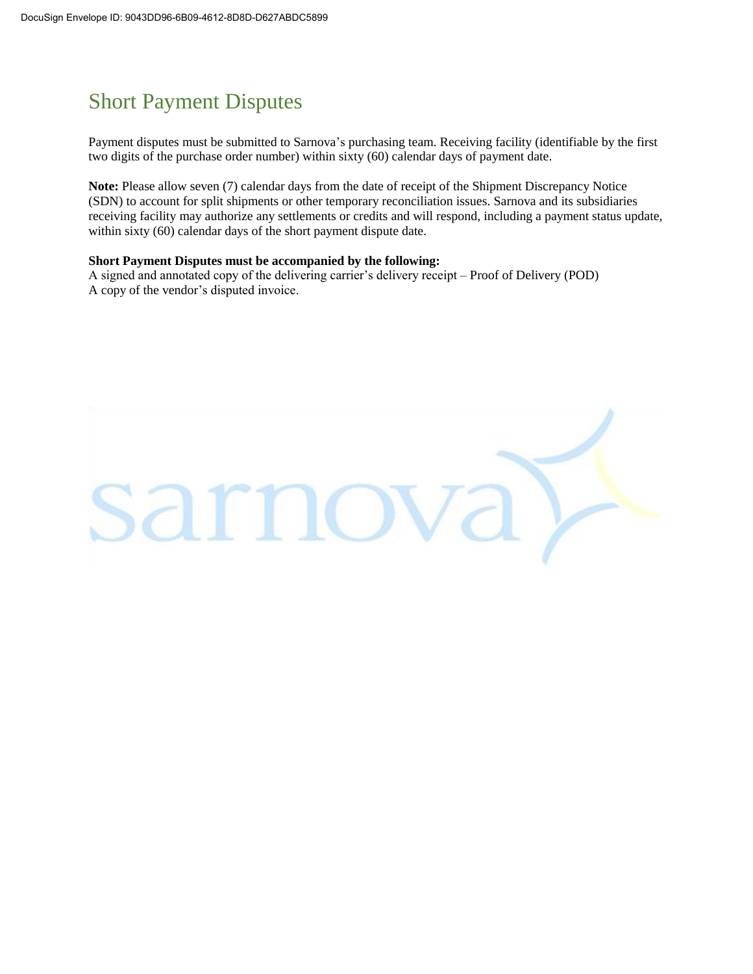## Short Payment Disputes

Payment disputes must be submitted to Sarnova's purchasing team. Receiving facility (identifiable by the first two digits of the purchase order number) within sixty (60) calendar days of payment date.

**Note:** Please allow seven (7) calendar days from the date of receipt of the Shipment Discrepancy Notice (SDN) to account for split shipments or other temporary reconciliation issues. Sarnova and its subsidiaries receiving facility may authorize any settlements or credits and will respond, including a payment status update, within sixty (60) calendar days of the short payment dispute date.

#### **Short Payment Disputes must be accompanied by the following:**

A signed and annotated copy of the delivering carrier's delivery receipt – Proof of Delivery (POD) A copy of the vendor's disputed invoice.

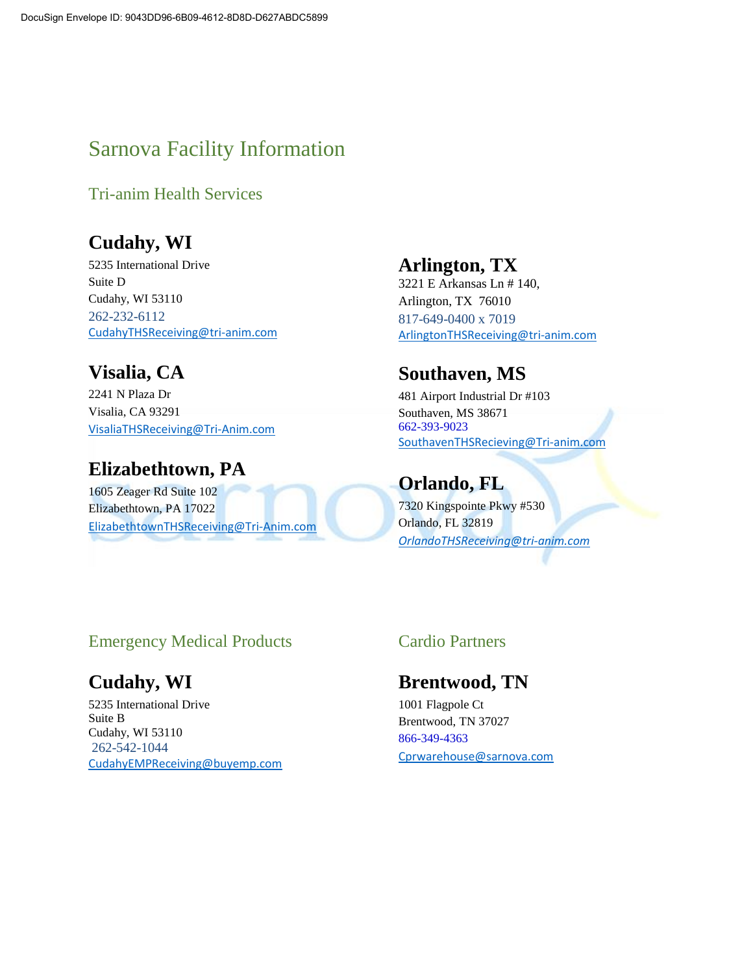## Sarnova Facility Information

Tri-anim Health Services

### **Cudahy, WI**

5235 International Drive Suite D Cudahy, WI 53110 262-232-6112 [CudahyTHSReceiving@tri-anim.com](mailto:CudahyTHSReceiving@tri-anim.com)

## **Visalia, CA**

2241 N Plaza Dr Visalia, CA 93291 [VisaliaTHSReceiving@Tri-Anim.com](mailto:VisaliaTHSReceiving@Tri-Anim.com)

## **Elizabethtown, PA**

1605 Zeager Rd Suite 102 Elizabethtown, PA 17022 [ElizabethtownTHSReceiving@Tri-Anim.com](mailto:ElizabethtownTHSReceiving@Tri-Anim.com)

#### **Arlington, TX**

3221 E Arkansas Ln # 140, Arlington, TX 76010 817-649-0400 x 7019 [ArlingtonTHSReceiving@tri-anim.com](mailto:ArlingtonTHSReceiving@tri-anim.com)

#### **Southaven, MS**

481 Airport Industrial Dr #103 Southaven, MS 38671 662-393-9023 [SouthavenTHSRecieving@Tri-anim.com](mailto:SouthavenTHSRecieving@Tri-anim.com)

#### **Orlando, FL**

7320 Kingspointe Pkwy #530 Orlando, FL 32819 *[OrlandoTHSReceiving@tri-anim.com](mailto:OrlandoTHSReceiving@tri-anim.com)*

#### Emergency Medical Products

### **Cudahy, WI**

5235 International Drive Suite B Cudahy, WI 53110 262-542-1044 [CudahyEMPReceiving@buyemp.com](mailto:CudahyEMPReceiving@buyemp.com)

#### Cardio Partners

#### **Brentwood, TN**

1001 Flagpole Ct Brentwood, TN 37027 866-349-4363 [Cprwarehouse@sarnova.com](mailto:Cprwarehouse@sarnova.com)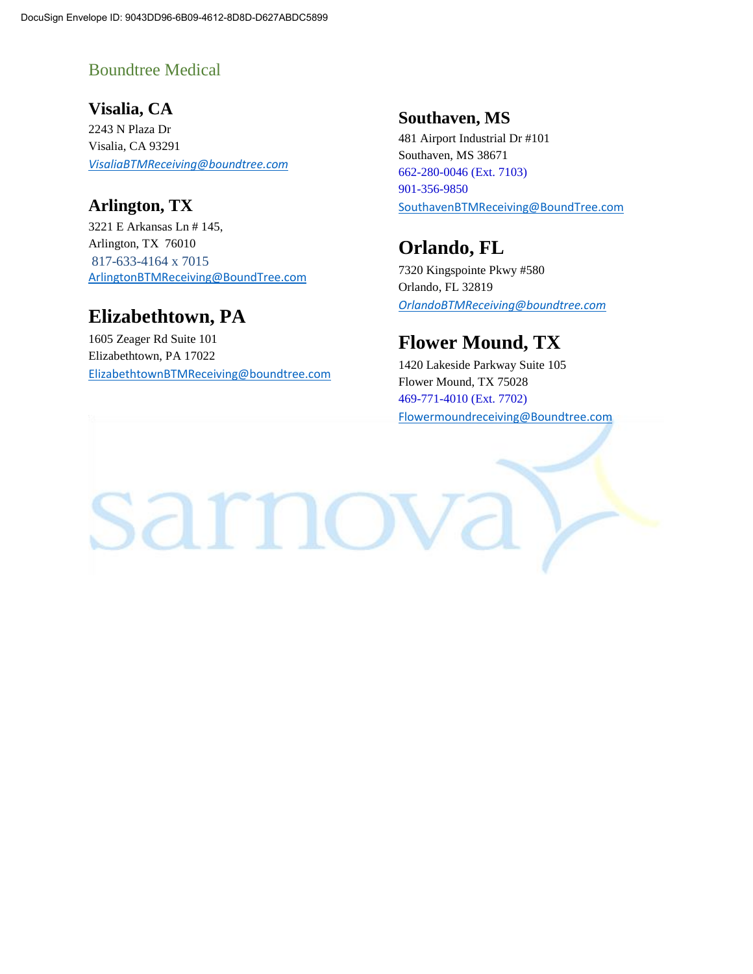#### Boundtree Medical

**Visalia, CA** 2243 N Plaza Dr Visalia, CA 93291 *[VisaliaBTMReceiving@boundtree.com](mailto:VisaliaBTMReceiving@boundtree.com)*

#### **Arlington, TX**

3221 E Arkansas Ln # 145, Arlington, TX 76010 817-633-4164 x 7015 [ArlingtonBTMReceiving@BoundTree.com](mailto:ArlingtonBTMReceiving@BoundTree.com)

#### **Elizabethtown, PA**

1605 Zeager Rd Suite 101 Elizabethtown, PA 17022 [ElizabethtownBTMReceiving@boundtree.com](mailto:ElizabethtownBTMReceiving@boundtree.com)

#### **Southaven, MS**

481 Airport Industrial Dr #101 Southaven, MS 38671 662-280-0046 (Ext. 7103) 901-356-9850 [SouthavenBTMReceiving@BoundTree.com](mailto:SouthavenBTMReceiving@BoundTree.com)

#### **Orlando, FL**

7320 Kingspointe Pkwy #580 Orlando, FL 32819 *[OrlandoBTMReceiving@boundtree.com](mailto:OrlandoBTMReceiving@boundtree.com)*

### **Flower Mound, TX**

1420 Lakeside Parkway Suite 105 Flower Mound, TX 75028 469-771-4010 (Ext. 7702) [Flowermoundreceiving@Boundtree.com](mailto:Flowermoundreceiving@Boundtree.com)

sarnova )